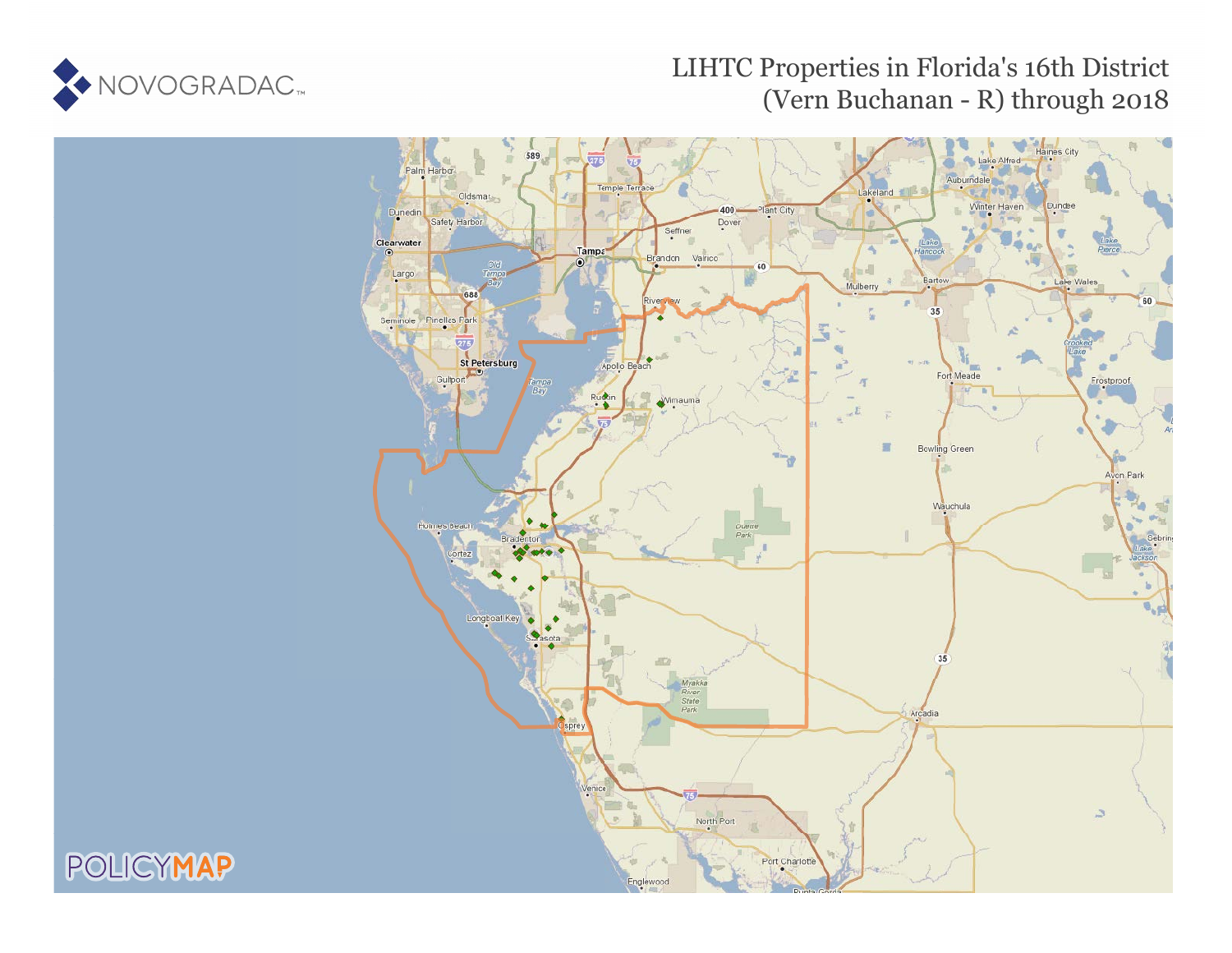

POLICYMAP

# LIHTC Properties in Florida's 16th District (Vern Buchanan - R) through 2018

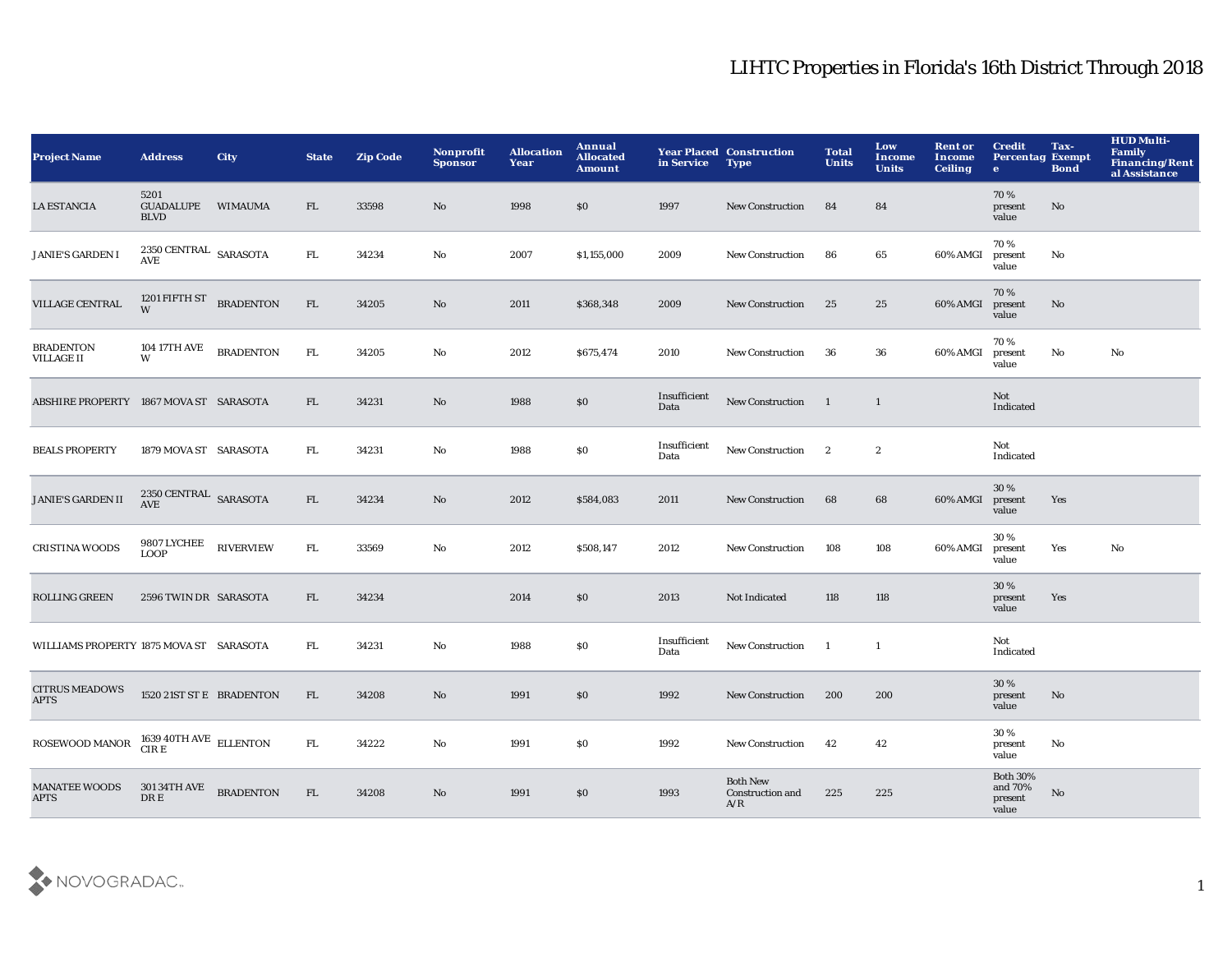| <b>Project Name</b>                     | <b>Address</b>                           | <b>City</b>      | <b>State</b> | <b>Zip Code</b> | Nonprofit<br><b>Sponsor</b> | <b>Allocation</b><br>Year | <b>Annual</b><br><b>Allocated</b><br><b>Amount</b> | in Service           | <b>Year Placed Construction</b><br><b>Type</b> | <b>Total</b><br><b>Units</b> | Low<br><b>Income</b><br><b>Units</b> | <b>Rent or</b><br>Income<br><b>Ceiling</b> | <b>Credit</b><br><b>Percentag Exempt</b><br>$\bullet$ | Tax-<br><b>Bond</b> | <b>HUD Multi-</b><br><b>Family</b><br><b>Financing/Rent</b><br>al Assistance |
|-----------------------------------------|------------------------------------------|------------------|--------------|-----------------|-----------------------------|---------------------------|----------------------------------------------------|----------------------|------------------------------------------------|------------------------------|--------------------------------------|--------------------------------------------|-------------------------------------------------------|---------------------|------------------------------------------------------------------------------|
| <b>LA ESTANCIA</b>                      | 5201<br><b>GUADALUPE</b><br><b>BLVD</b>  | <b>WIMAUMA</b>   | FL.          | 33598           | No                          | 1998                      | \$0                                                | 1997                 | <b>New Construction</b>                        | 84                           | 84                                   |                                            | 70%<br>present<br>value                               | No                  |                                                                              |
| <b>JANIE'S GARDEN I</b>                 | 2350 CENTRAL SARASOTA<br>AVE             |                  | FL.          | 34234           | No                          | 2007                      | \$1,155,000                                        | 2009                 | <b>New Construction</b>                        | 86                           | 65                                   | 60% AMGI                                   | 70%<br>present<br>value                               | No                  |                                                                              |
| VILLAGE CENTRAL                         | 1201 FIFTH ST<br>W                       | <b>BRADENTON</b> | FL           | 34205           | No                          | 2011                      | \$368,348                                          | 2009                 | <b>New Construction</b>                        | 25                           | 25                                   | 60% AMGI                                   | 70%<br>present<br>value                               | $\mathbf{No}$       |                                                                              |
| <b>BRADENTON</b><br>VILLAGE II          | 104 17TH AVE<br>W                        | <b>BRADENTON</b> | ${\rm FL}$   | 34205           | No                          | 2012                      | \$675,474                                          | 2010                 | <b>New Construction</b>                        | 36                           | ${\bf 36}$                           | 60% AMGI                                   | 70%<br>present<br>value                               | $\mathbf {No}$      | $\mathbf{N}\mathbf{o}$                                                       |
| ABSHIRE PROPERTY 1867 MOVA ST SARASOTA  |                                          |                  | FL           | 34231           | No                          | 1988                      | $\$0$                                              | Insufficient<br>Data | New Construction                               | $\blacksquare$               | $\mathbf{1}$                         |                                            | Not<br>Indicated                                      |                     |                                                                              |
| <b>BEALS PROPERTY</b>                   | 1879 MOVA ST SARASOTA                    |                  | ${\rm FL}$   | 34231           | $\mathbf{N}\mathbf{o}$      | 1988                      | S <sub>0</sub>                                     | Insufficient<br>Data | New Construction                               | $\mathbf{2}$                 | $\boldsymbol{2}$                     |                                            | Not<br>Indicated                                      |                     |                                                                              |
| <b>JANIE'S GARDEN II</b>                | 2350 CENTRAL SARASOTA<br><b>AVE</b>      |                  | FL           | 34234           | No                          | 2012                      | \$584,083                                          | 2011                 | New Construction                               | 68                           | 68                                   | 60% AMGI                                   | 30 %<br>present<br>value                              | Yes                 |                                                                              |
| <b>CRISTINA WOODS</b>                   | 9807 LYCHEE<br><b>LOOP</b>               | <b>RIVERVIEW</b> | ${\rm FL}$   | 33569           | No                          | 2012                      | \$508,147                                          | 2012                 | <b>New Construction</b>                        | 108                          | 108                                  | 60% AMGI                                   | 30%<br>present<br>value                               | Yes                 | No                                                                           |
| ROLLING GREEN                           | 2596 TWIN DR SARASOTA                    |                  | FL           | 34234           |                             | 2014                      | \$0                                                | 2013                 | Not Indicated                                  | 118                          | 118                                  |                                            | 30%<br>present<br>value                               | Yes                 |                                                                              |
| WILLIAMS PROPERTY 1875 MOVA ST SARASOTA |                                          |                  | FL.          | 34231           | No                          | 1988                      | $\$0$                                              | Insufficient<br>Data | New Construction                               | <sup>1</sup>                 | $\mathbf{1}$                         |                                            | Not<br>Indicated                                      |                     |                                                                              |
| <b>CITRUS MEADOWS</b><br><b>APTS</b>    | 1520 21ST ST E BRADENTON                 |                  | FL           | 34208           | No                          | 1991                      | \$0                                                | 1992                 | <b>New Construction</b>                        | 200                          | 200                                  |                                            | 30%<br>present<br>value                               | No                  |                                                                              |
| ROSEWOOD MANOR                          | $1639~40 \mathrm{TH~AVE}$ ELLENTON CIR E |                  | FL.          | 34222           | No                          | 1991                      | \$0                                                | 1992                 | <b>New Construction</b>                        | 42                           | 42                                   |                                            | 30%<br>present<br>value                               | No                  |                                                                              |
| <b>MANATEE WOODS</b><br><b>APTS</b>     | <b>301 34TH AVE</b><br>DR E              | <b>BRADENTON</b> | FL           | 34208           | No                          | 1991                      | \$0                                                | 1993                 | <b>Both New</b><br>Construction and<br>A/R     | 225                          | 225                                  |                                            | <b>Both 30%</b><br>and 70%<br>present<br>value        | No                  |                                                                              |

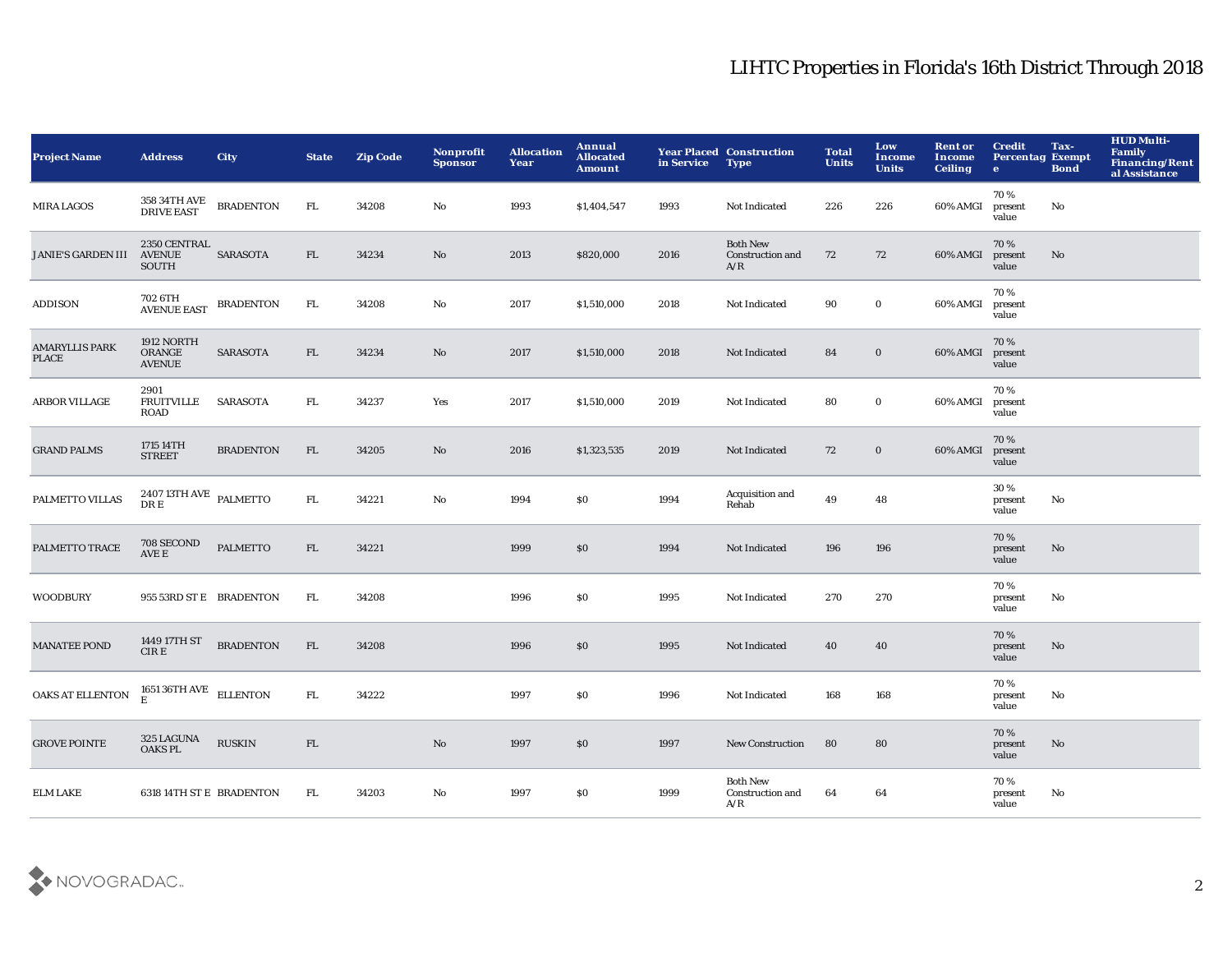| <b>Project Name</b>                   | <b>Address</b>                                            | <b>City</b>      | <b>State</b> | <b>Zip Code</b> | <b>Nonprofit</b><br><b>Sponsor</b> | <b>Allocation</b><br>Year | Annual<br><b>Allocated</b><br><b>Amount</b> | in Service | <b>Year Placed Construction</b><br><b>Type</b> | <b>Total</b><br><b>Units</b> | Low<br>Income<br><b>Units</b> | <b>Rent or</b><br><b>Income</b><br><b>Ceiling</b> | <b>Credit</b><br><b>Percentag Exempt</b><br>$\bullet$ | Tax-<br><b>Bond</b> | <b>HUD Multi-</b><br><b>Family</b><br>Financing/Rent<br>al Assistance |
|---------------------------------------|-----------------------------------------------------------|------------------|--------------|-----------------|------------------------------------|---------------------------|---------------------------------------------|------------|------------------------------------------------|------------------------------|-------------------------------|---------------------------------------------------|-------------------------------------------------------|---------------------|-----------------------------------------------------------------------|
| <b>MIRA LAGOS</b>                     | 358 34TH AVE<br><b>DRIVE EAST</b>                         | <b>BRADENTON</b> | FL.          | 34208           | No                                 | 1993                      | \$1,404,547                                 | 1993       | Not Indicated                                  | 226                          | 226                           | 60% AMGI                                          | 70%<br>present<br>value                               | No                  |                                                                       |
| <b>JANIE'S GARDEN III</b>             | 2350 CENTRAL<br><b>AVENUE</b><br><b>SOUTH</b>             | SARASOTA         | FL           | 34234           | $\rm No$                           | 2013                      | \$820,000                                   | 2016       | <b>Both New</b><br>Construction and<br>A/R     | 72                           | 72                            | 60% AMGI                                          | 70%<br>present<br>value                               | No                  |                                                                       |
| <b>ADDISON</b>                        | 702 6TH<br>AVENUE EAST                                    | <b>BRADENTON</b> | FL.          | 34208           | $\mathbf{No}$                      | 2017                      | \$1,510,000                                 | 2018       | Not Indicated                                  | 90                           | $\mathbf 0$                   | 60% AMGI                                          | 70%<br>present<br>value                               |                     |                                                                       |
| <b>AMARYLLIS PARK</b><br><b>PLACE</b> | 1912 NORTH<br>ORANGE<br><b>AVENUE</b>                     | <b>SARASOTA</b>  | FL           | 34234           | $\mathbf{N}\mathbf{o}$             | 2017                      | \$1,510,000                                 | 2018       | Not Indicated                                  | 84                           | $\bf{0}$                      | 60% AMGI                                          | 70%<br>present<br>value                               |                     |                                                                       |
| <b>ARBOR VILLAGE</b>                  | 2901<br><b>FRUITVILLE</b><br><b>ROAD</b>                  | SARASOTA         | ${\rm FL}$   | 34237           | Yes                                | 2017                      | \$1,510,000                                 | 2019       | Not Indicated                                  | 80                           | $\mathbf 0$                   | 60% AMGI                                          | 70%<br>present<br>value                               |                     |                                                                       |
| <b>GRAND PALMS</b>                    | 1715 14TH<br><b>STREET</b>                                | <b>BRADENTON</b> | FL           | 34205           | No                                 | 2016                      | \$1,323,535                                 | 2019       | Not Indicated                                  | 72                           | $\mathbf 0$                   | 60% AMGI                                          | 70%<br>present<br>value                               |                     |                                                                       |
| PALMETTO VILLAS                       | $2407\,13 \mathrm{TH\, AVE}$ $\,$ PALMETTO<br>DR E        |                  | ${\rm FL}$   | 34221           | $\mathbf {No}$                     | 1994                      | \$0                                         | 1994       | Acquisition and<br>Rehab                       | 49                           | 48                            |                                                   | 30%<br>present<br>value                               | No                  |                                                                       |
| PALMETTO TRACE                        | 708 SECOND<br>$\overline{\text{AVE}}$ E                   | <b>PALMETTO</b>  | FL           | 34221           |                                    | 1999                      | \$0                                         | 1994       | Not Indicated                                  | 196                          | 196                           |                                                   | 70%<br>present<br>value                               | No                  |                                                                       |
| <b>WOODBURY</b>                       | 955 53RD ST E BRADENTON                                   |                  | FL.          | 34208           |                                    | 1996                      | <b>SO</b>                                   | 1995       | Not Indicated                                  | 270                          | 270                           |                                                   | 70%<br>present<br>value                               | No                  |                                                                       |
| <b>MANATEE POND</b>                   | 1449 17TH ST<br>CIR E                                     | <b>BRADENTON</b> | FL           | 34208           |                                    | 1996                      | \$0                                         | 1995       | Not Indicated                                  | 40                           | 40                            |                                                   | 70%<br>present<br>value                               | No                  |                                                                       |
| OAKS AT ELLENTON                      | $1651\,36\mathrm{TH\,AVE}\quad\text{ELLENTON}\nonumber$ E |                  | ${\rm FL}$   | 34222           |                                    | 1997                      | \$0                                         | 1996       | Not Indicated                                  | 168                          | 168                           |                                                   | 70 %<br>present<br>value                              | No                  |                                                                       |
| <b>GROVE POINTE</b>                   | 325 LAGUNA<br>OAKS PL                                     | <b>RUSKIN</b>    | FL           |                 | $\mathbf{N}\mathbf{o}$             | 1997                      | \$0                                         | 1997       | New Construction                               | 80                           | 80                            |                                                   | 70%<br>present<br>value                               | No                  |                                                                       |
| <b>ELM LAKE</b>                       | <b>6318 14TH ST E BRADENTON</b>                           |                  | FL.          | 34203           | No                                 | 1997                      | $\$0$                                       | 1999       | <b>Both New</b><br>Construction and<br>A/R     | 64                           | 64                            |                                                   | 70%<br>present<br>value                               | No                  |                                                                       |

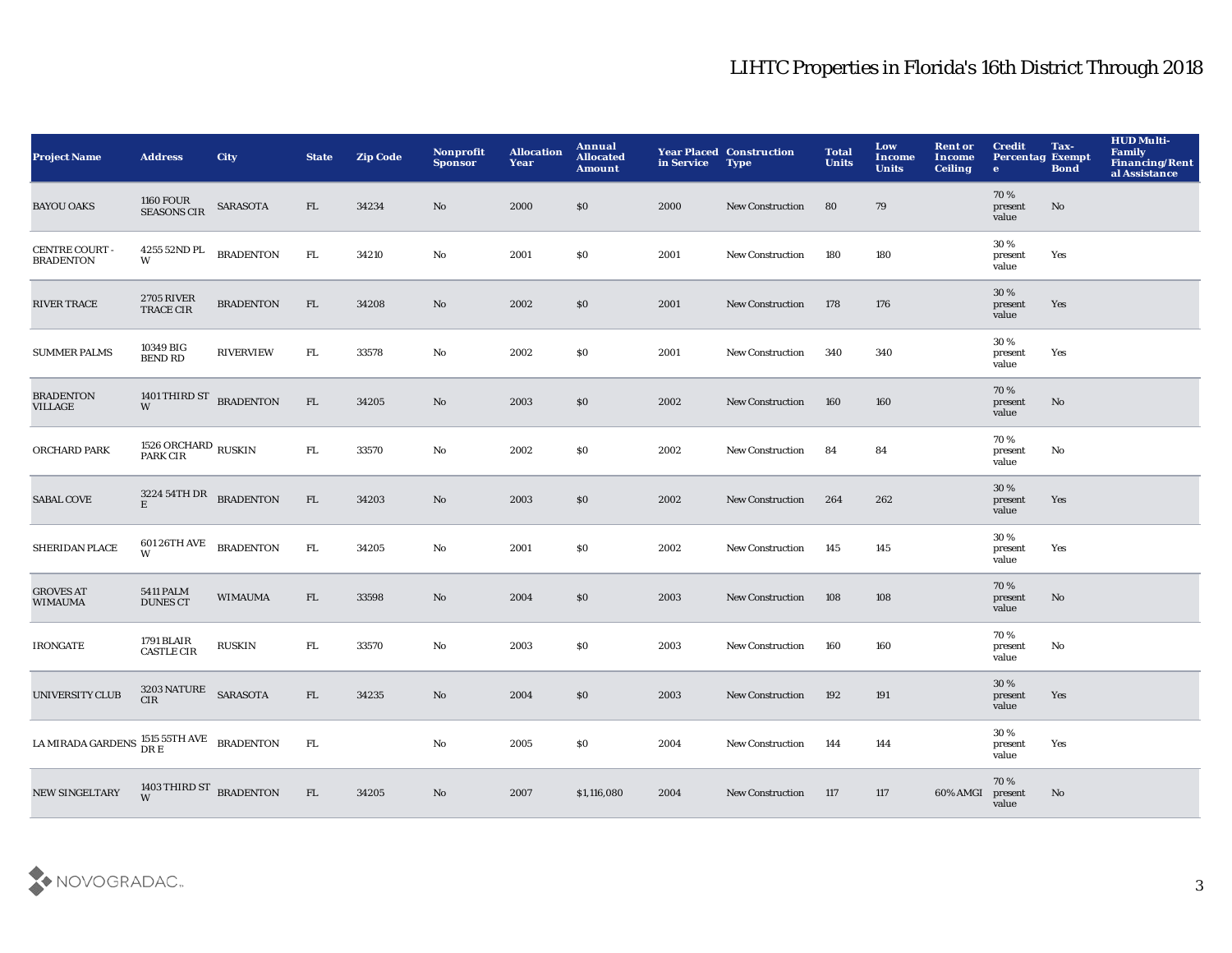| <b>Project Name</b>                                   | <b>Address</b>                          | <b>City</b>      | <b>State</b> | <b>Zip Code</b> | Nonprofit<br><b>Sponsor</b> | <b>Allocation</b><br>Year | Annual<br><b>Allocated</b><br>Amount | in Service | <b>Year Placed Construction</b><br><b>Type</b> | <b>Total</b><br><b>Units</b> | Low<br><b>Income</b><br><b>Units</b> | <b>Rent or</b><br><b>Income</b><br><b>Ceiling</b> | <b>Credit</b><br><b>Percentag Exempt</b><br>$\bullet$ | Tax-<br><b>Bond</b> | <b>HUD Multi-</b><br>Family<br><b>Financing/Rent</b><br>al Assistance |
|-------------------------------------------------------|-----------------------------------------|------------------|--------------|-----------------|-----------------------------|---------------------------|--------------------------------------|------------|------------------------------------------------|------------------------------|--------------------------------------|---------------------------------------------------|-------------------------------------------------------|---------------------|-----------------------------------------------------------------------|
| <b>BAYOU OAKS</b>                                     | <b>1160 FOUR</b><br><b>SEASONS CIR</b>  | SARASOTA         | FL.          | 34234           | No                          | 2000                      | \$0                                  | 2000       | <b>New Construction</b>                        | 80                           | 79                                   |                                                   | 70%<br>present<br>value                               | No                  |                                                                       |
| CENTRE COURT -<br><b>BRADENTON</b>                    | 4255 52ND PL<br>W                       | <b>BRADENTON</b> | ${\rm FL}$   | 34210           | No                          | 2001                      | <b>SO</b>                            | 2001       | New Construction                               | 180                          | 180                                  |                                                   | 30%<br>present<br>value                               | Yes                 |                                                                       |
| <b>RIVER TRACE</b>                                    | <b>2705 RIVER</b><br><b>TRACE CIR</b>   | <b>BRADENTON</b> | ${\rm FL}$   | 34208           | $\mathbf{N}\mathbf{o}$      | 2002                      | \$0                                  | 2001       | <b>New Construction</b>                        | 178                          | 176                                  |                                                   | 30 %<br>present<br>value                              | Yes                 |                                                                       |
| <b>SUMMER PALMS</b>                                   | 10349 BIG<br><b>BEND RD</b>             | <b>RIVERVIEW</b> | FL.          | 33578           | $\mathbf{No}$               | 2002                      | \$0                                  | 2001       | <b>New Construction</b>                        | 340                          | 340                                  |                                                   | 30 %<br>present<br>value                              | Yes                 |                                                                       |
| <b>BRADENTON</b><br>VILLAGE                           | 1401 THIRD ST BRADENTON<br>W            |                  | ${\rm FL}$   | 34205           | No                          | 2003                      | \$0                                  | 2002       | New Construction                               | 160                          | 160                                  |                                                   | 70%<br>present<br>value                               | No                  |                                                                       |
| ORCHARD PARK                                          | $1526$ ORCHARD $_{\rm RUSKIN}$ PARK CIR |                  | ${\rm FL}$   | 33570           | $\mathbf{No}$               | 2002                      | \$0                                  | 2002       | <b>New Construction</b>                        | 84                           | 84                                   |                                                   | 70%<br>present<br>value                               | No                  |                                                                       |
| <b>SABAL COVE</b>                                     | 3224 54TH DR BRADENTON<br>E             |                  | FL           | 34203           | No                          | 2003                      | \$0                                  | 2002       | New Construction                               | 264                          | 262                                  |                                                   | 30%<br>present<br>value                               | Yes                 |                                                                       |
| SHERIDAN PLACE                                        | 601 26TH AVE<br>W                       | <b>BRADENTON</b> | ${\rm FL}$   | 34205           | No                          | 2001                      | \$0                                  | 2002       | New Construction                               | 145                          | 145                                  |                                                   | 30 %<br>present<br>value                              | Yes                 |                                                                       |
| <b>GROVES AT</b><br><b>WIMAUMA</b>                    | <b>5411 PALM</b><br><b>DUNES CT</b>     | <b>WIMAUMA</b>   | FL           | 33598           | No                          | 2004                      | \$0                                  | 2003       | <b>New Construction</b>                        | 108                          | 108                                  |                                                   | 70%<br>present<br>value                               | No                  |                                                                       |
| <b>IRONGATE</b>                                       | 1791 BLAIR<br><b>CASTLE CIR</b>         | <b>RUSKIN</b>    | ${\rm FL}$   | 33570           | No                          | 2003                      | \$0                                  | 2003       | New Construction                               | 160                          | 160                                  |                                                   | 70%<br>present<br>value                               | No                  |                                                                       |
| <b>UNIVERSITY CLUB</b>                                | 3203 NATURE SARASOTA<br><b>CIR</b>      |                  | FL           | 34235           | No                          | 2004                      | \$0                                  | 2003       | New Construction                               | 192                          | 191                                  |                                                   | 30 %<br>present<br>value                              | Yes                 |                                                                       |
| LA MIRADA GARDENS $\frac{1515}{DR}$ ETH AVE BRADENTON |                                         |                  | ${\rm FL}$   |                 | $\mathbf{No}$               | 2005                      | \$0                                  | 2004       | <b>New Construction</b>                        | 144                          | 144                                  |                                                   | 30%<br>present<br>value                               | Yes                 |                                                                       |
| <b>NEW SINGELTARY</b>                                 | 1403 THIRD ST BRADENTON                 |                  | FL           | 34205           | No                          | 2007                      | \$1,116,080                          | 2004       | <b>New Construction</b>                        | 117                          | 117                                  | 60% AMGI                                          | 70%<br>present<br>value                               | No                  |                                                                       |